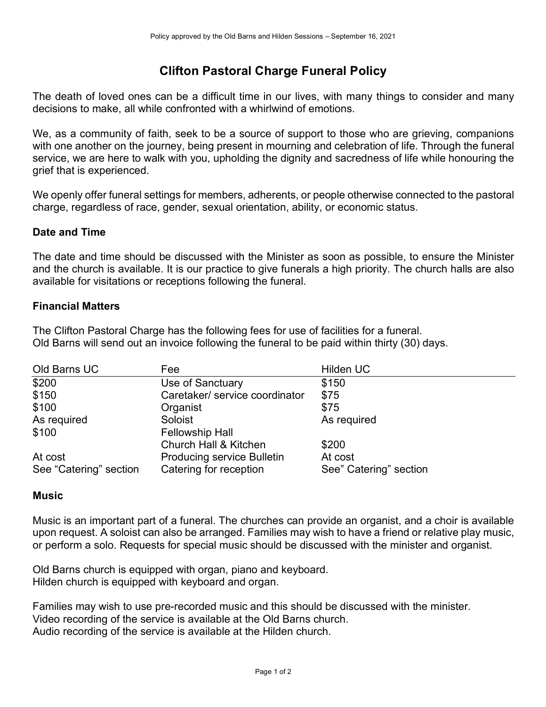# **Clifton Pastoral Charge Funeral Policy**

The death of loved ones can be a difficult time in our lives, with many things to consider and many decisions to make, all while confronted with a whirlwind of emotions.

We, as a community of faith, seek to be a source of support to those who are grieving, companions with one another on the journey, being present in mourning and celebration of life. Through the funeral service, we are here to walk with you, upholding the dignity and sacredness of life while honouring the grief that is experienced.

We openly offer funeral settings for members, adherents, or people otherwise connected to the pastoral charge, regardless of race, gender, sexual orientation, ability, or economic status.

## **Date and Time**

The date and time should be discussed with the Minister as soon as possible, to ensure the Minister and the church is available. It is our practice to give funerals a high priority. The church halls are also available for visitations or receptions following the funeral.

## **Financial Matters**

The Clifton Pastoral Charge has the following fees for use of facilities for a funeral. Old Barns will send out an invoice following the funeral to be paid within thirty (30) days.

| Old Barns UC           | Fee                               | Hilden UC              |
|------------------------|-----------------------------------|------------------------|
| \$200                  | Use of Sanctuary                  | \$150                  |
| \$150                  | Caretaker/ service coordinator    | \$75                   |
| \$100                  | Organist                          | \$75                   |
| As required            | Soloist                           | As required            |
| \$100                  | <b>Fellowship Hall</b>            |                        |
|                        | Church Hall & Kitchen             | \$200                  |
| At cost                | <b>Producing service Bulletin</b> | At cost                |
| See "Catering" section | Catering for reception            | See" Catering" section |

## **Music**

Music is an important part of a funeral. The churches can provide an organist, and a choir is available upon request. A soloist can also be arranged. Families may wish to have a friend or relative play music, or perform a solo. Requests for special music should be discussed with the minister and organist.

Old Barns church is equipped with organ, piano and keyboard. Hilden church is equipped with keyboard and organ.

Families may wish to use pre-recorded music and this should be discussed with the minister. Video recording of the service is available at the Old Barns church. Audio recording of the service is available at the Hilden church.